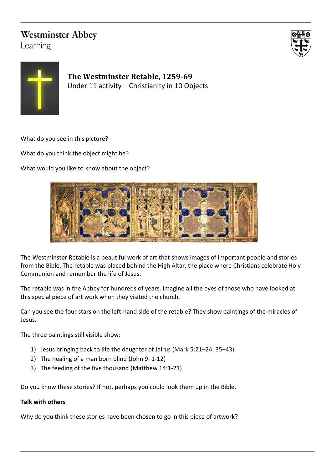## **Westminster Abbey**

Learning





**The Westminster Retable, 1259-69** Under 11 activity – Christianity in 10 Objects

What do you see in this picture?

What do you think the object might be?

What would you like to know about the object?



The Westminster Retable is a beautiful work of art that shows images of important people and stories from the Bible. The retable was placed behind the High Altar, the place where Christians celebrate Holy Communion and remember the life of Jesus.

The retable was in the Abbey for hundreds of years. Imagine all the eyes of those who have looked at this special piece of art work when they visited the church.

Can you see the four stars on the left-hand side of the retable? They show paintings of the miracles of Jesus.

The three paintings still visible show:

- 1) Jesus bringing back to life the daughter of Jairus (Mark 5:21–24, 35–43)
- 2) The healing of a man born blind (John 9: 1-12)
- 3) The feeding of the five thousand (Matthew 14:1-21)

Do you know these stories? If not, perhaps you could look them up in the Bible.

## **Talk with others**

Why do you think these stories have been chosen to go in this piece of artwork?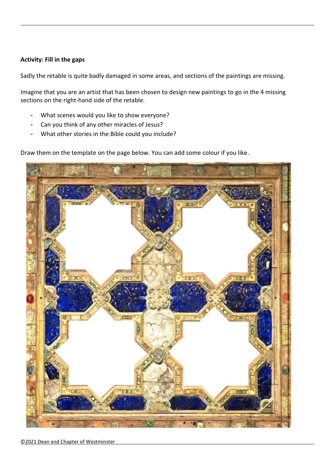## **Activity: Fill in the gaps**

Sadly the retable is quite badly damaged in some areas, and sections of the paintings are missing.

Imagine that you are an artist that has been chosen to design new paintings to go in the 4 missing sections on the right-hand side of the retable.

- What scenes would you like to show everyone?
- Can you think of any other miracles of Jesus?
- What other stories in the Bible could you include?

Draw them on the template on the page below. You can add some colour if you like.